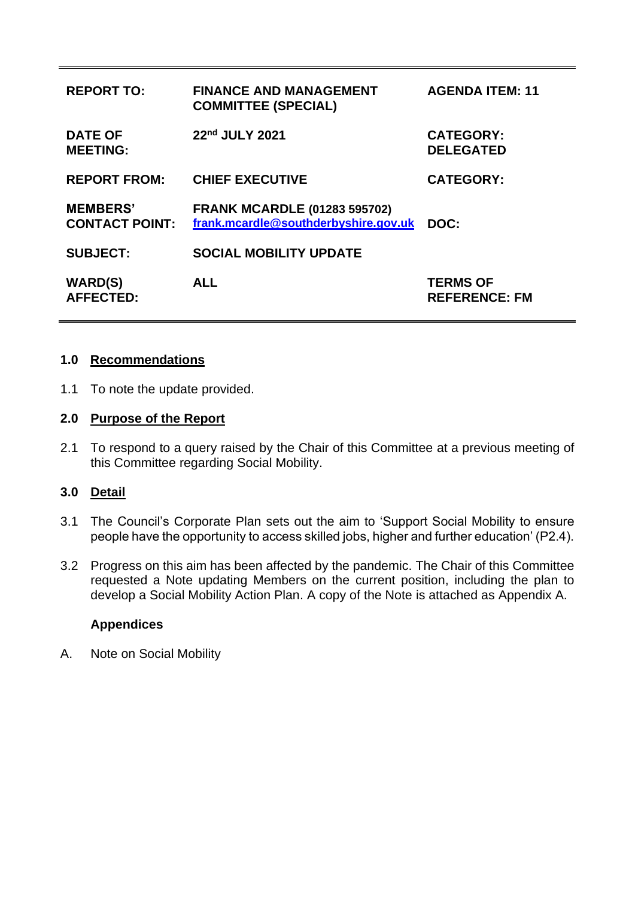| <b>REPORT TO:</b>                        | <b>FINANCE AND MANAGEMENT</b><br><b>COMMITTEE (SPECIAL)</b>                 | <b>AGENDA ITEM: 11</b>                  |
|------------------------------------------|-----------------------------------------------------------------------------|-----------------------------------------|
| <b>DATE OF</b><br><b>MEETING:</b>        | 22nd JULY 2021                                                              | <b>CATEGORY:</b><br><b>DELEGATED</b>    |
| <b>REPORT FROM:</b>                      | <b>CHIEF EXECUTIVE</b>                                                      | <b>CATEGORY:</b>                        |
| <b>MEMBERS'</b><br><b>CONTACT POINT:</b> | <b>FRANK MCARDLE (01283 595702)</b><br>frank.mcardle@southderbyshire.gov.uk | DOC:                                    |
| <b>SUBJECT:</b>                          | <b>SOCIAL MOBILITY UPDATE</b>                                               |                                         |
| <b>WARD(S)</b><br><b>AFFECTED:</b>       | <b>ALL</b>                                                                  | <b>TERMS OF</b><br><b>REFERENCE: FM</b> |

#### **1.0 Recommendations**

1.1 To note the update provided.

#### **2.0 Purpose of the Report**

2.1 To respond to a query raised by the Chair of this Committee at a previous meeting of this Committee regarding Social Mobility.

#### **3.0 Detail**

- 3.1 The Council's Corporate Plan sets out the aim to 'Support Social Mobility to ensure people have the opportunity to access skilled jobs, higher and further education' (P2.4).
- 3.2 Progress on this aim has been affected by the pandemic. The Chair of this Committee requested a Note updating Members on the current position, including the plan to develop a Social Mobility Action Plan. A copy of the Note is attached as Appendix A.

#### **Appendices**

A. Note on Social Mobility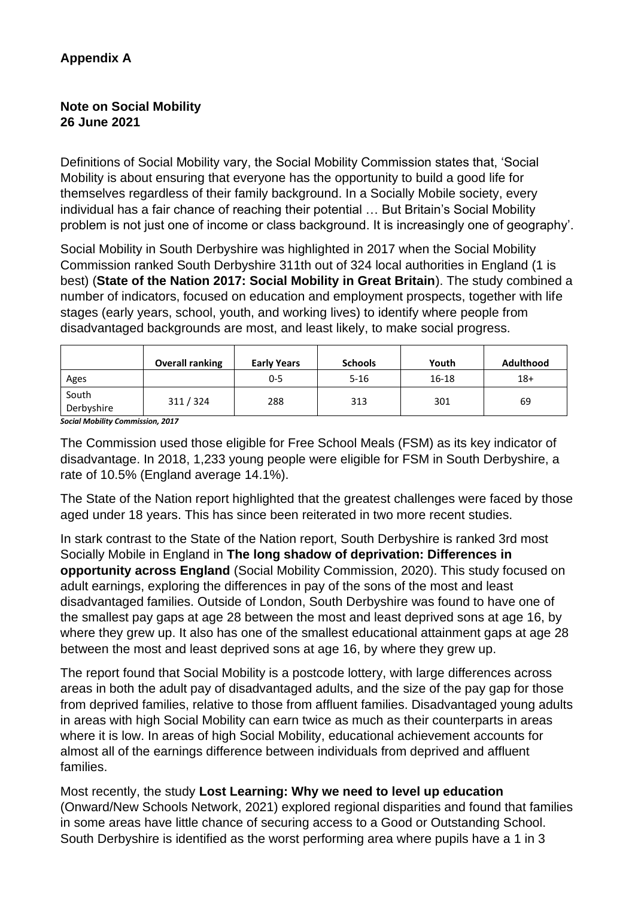# **Appendix A**

# **Note on Social Mobility 26 June 2021**

Definitions of Social Mobility vary, the Social Mobility Commission states that, 'Social Mobility is about ensuring that everyone has the opportunity to build a good life for themselves regardless of their family background. In a Socially Mobile society, every individual has a fair chance of reaching their potential … But Britain's Social Mobility problem is not just one of income or class background. It is increasingly one of geography'.

Social Mobility in South Derbyshire was highlighted in 2017 when the Social Mobility Commission ranked South Derbyshire 311th out of 324 local authorities in England (1 is best) (**State of the Nation 2017: Social Mobility in Great Britain**). The study combined a number of indicators, focused on education and employment prospects, together with life stages (early years, school, youth, and working lives) to identify where people from disadvantaged backgrounds are most, and least likely, to make social progress.

|                     | <b>Overall ranking</b> | <b>Early Years</b> | <b>Schools</b> | Youth     | <b>Adulthood</b> |
|---------------------|------------------------|--------------------|----------------|-----------|------------------|
| Ages                |                        | 0-5                | $5 - 16$       | $16 - 18$ | $18+$            |
| South<br>Derbyshire | 311/324                | 288                | 313            | 301       | 69               |

*Social Mobility Commission, 2017*

The Commission used those eligible for Free School Meals (FSM) as its key indicator of disadvantage. In 2018, 1,233 young people were eligible for FSM in South Derbyshire, a rate of 10.5% (England average 14.1%).

The State of the Nation report highlighted that the greatest challenges were faced by those aged under 18 years. This has since been reiterated in two more recent studies.

In stark contrast to the State of the Nation report, South Derbyshire is ranked 3rd most Socially Mobile in England in **The long shadow of deprivation: Differences in opportunity across England** (Social Mobility Commission, 2020). This study focused on adult earnings, exploring the differences in pay of the sons of the most and least disadvantaged families. Outside of London, South Derbyshire was found to have one of the smallest pay gaps at age 28 between the most and least deprived sons at age 16, by where they grew up. It also has one of the smallest educational attainment gaps at age 28 between the most and least deprived sons at age 16, by where they grew up.

The report found that Social Mobility is a postcode lottery, with large differences across areas in both the adult pay of disadvantaged adults, and the size of the pay gap for those from deprived families, relative to those from affluent families. Disadvantaged young adults in areas with high Social Mobility can earn twice as much as their counterparts in areas where it is low. In areas of high Social Mobility, educational achievement accounts for almost all of the earnings difference between individuals from deprived and affluent families.

Most recently, the study **Lost Learning: Why we need to level up education** (Onward/New Schools Network, 2021) explored regional disparities and found that families in some areas have little chance of securing access to a Good or Outstanding School. South Derbyshire is identified as the worst performing area where pupils have a 1 in 3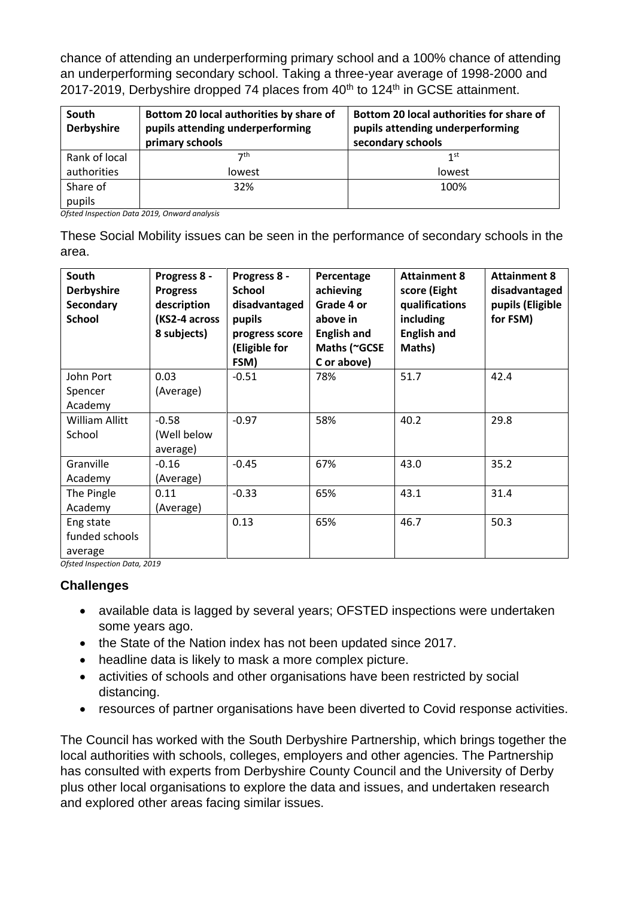chance of attending an underperforming primary school and a 100% chance of attending an underperforming secondary school. Taking a three-year average of 1998-2000 and 2017-2019, Derbyshire dropped 74 places from 40<sup>th</sup> to 124<sup>th</sup> in GCSE attainment.

| South<br><b>Derbyshire</b> | Bottom 20 local authorities by share of<br>pupils attending underperforming<br>primary schools | Bottom 20 local authorities for share of<br>pupils attending underperforming<br>secondary schools |
|----------------------------|------------------------------------------------------------------------------------------------|---------------------------------------------------------------------------------------------------|
| Rank of local              | 7th                                                                                            | 1 <sup>st</sup>                                                                                   |
| authorities                | lowest                                                                                         | lowest                                                                                            |
| Share of                   | 32%                                                                                            | 100%                                                                                              |
| pupils                     |                                                                                                |                                                                                                   |

*Ofsted Inspection Data 2019, Onward analysis*

These Social Mobility issues can be seen in the performance of secondary schools in the area.

| South<br><b>Derbyshire</b><br>Secondary<br><b>School</b> | Progress 8 -<br><b>Progress</b><br>description<br>(KS2-4 across<br>8 subjects) | Progress 8 -<br><b>School</b><br>disadvantaged<br>pupils<br>progress score<br>(Eligible for<br>FSM) | Percentage<br>achieving<br>Grade 4 or<br>above in<br><b>English and</b><br>Maths (~GCSE<br>C or above) | <b>Attainment 8</b><br>score (Eight<br>qualifications<br>including<br><b>English and</b><br>Maths) | <b>Attainment 8</b><br>disadvantaged<br>pupils (Eligible<br>for FSM) |
|----------------------------------------------------------|--------------------------------------------------------------------------------|-----------------------------------------------------------------------------------------------------|--------------------------------------------------------------------------------------------------------|----------------------------------------------------------------------------------------------------|----------------------------------------------------------------------|
| John Port                                                | 0.03                                                                           | $-0.51$                                                                                             | 78%                                                                                                    | 51.7                                                                                               | 42.4                                                                 |
| Spencer                                                  | (Average)                                                                      |                                                                                                     |                                                                                                        |                                                                                                    |                                                                      |
| Academy                                                  |                                                                                |                                                                                                     |                                                                                                        |                                                                                                    |                                                                      |
| <b>William Allitt</b>                                    | $-0.58$                                                                        | $-0.97$                                                                                             | 58%                                                                                                    | 40.2                                                                                               | 29.8                                                                 |
| School                                                   | (Well below                                                                    |                                                                                                     |                                                                                                        |                                                                                                    |                                                                      |
|                                                          | average)                                                                       |                                                                                                     |                                                                                                        |                                                                                                    |                                                                      |
| Granville                                                | $-0.16$                                                                        | $-0.45$                                                                                             | 67%                                                                                                    | 43.0                                                                                               | 35.2                                                                 |
| Academy                                                  | (Average)                                                                      |                                                                                                     |                                                                                                        |                                                                                                    |                                                                      |
| The Pingle                                               | 0.11                                                                           | $-0.33$                                                                                             | 65%                                                                                                    | 43.1                                                                                               | 31.4                                                                 |
| Academy                                                  | (Average)                                                                      |                                                                                                     |                                                                                                        |                                                                                                    |                                                                      |
| Eng state                                                |                                                                                | 0.13                                                                                                | 65%                                                                                                    | 46.7                                                                                               | 50.3                                                                 |
| funded schools                                           |                                                                                |                                                                                                     |                                                                                                        |                                                                                                    |                                                                      |
| average                                                  |                                                                                |                                                                                                     |                                                                                                        |                                                                                                    |                                                                      |

*Ofsted Inspection Data, 2019*

### **Challenges**

- available data is lagged by several years; OFSTED inspections were undertaken some years ago.
- the State of the Nation index has not been updated since 2017.
- headline data is likely to mask a more complex picture.
- activities of schools and other organisations have been restricted by social distancing.
- resources of partner organisations have been diverted to Covid response activities.

The Council has worked with the South Derbyshire Partnership, which brings together the local authorities with schools, colleges, employers and other agencies. The Partnership has consulted with experts from Derbyshire County Council and the University of Derby plus other local organisations to explore the data and issues, and undertaken research and explored other areas facing similar issues.